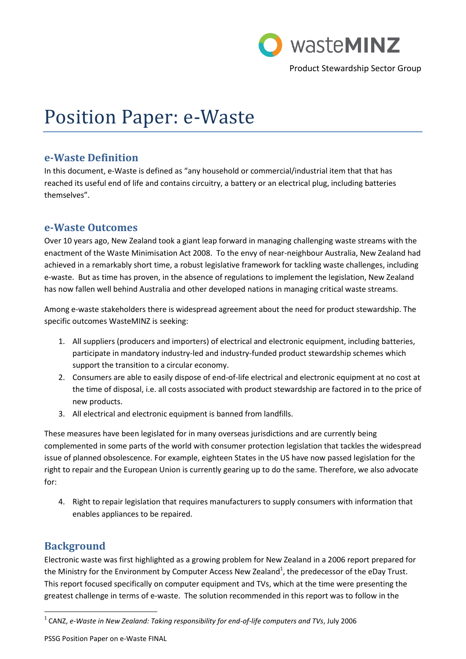

Product Stewardship Sector Group

# Position Paper: e-Waste

# **e-Waste Definition**

In this document, e-Waste is defined as "any household or commercial/industrial item that that has reached its useful end of life and contains circuitry, a battery or an electrical plug, including batteries themselves".

# **e-Waste Outcomes**

Over 10 years ago, New Zealand took a giant leap forward in managing challenging waste streams with the enactment of the Waste Minimisation Act 2008. To the envy of near-neighbour Australia, New Zealand had achieved in a remarkably short time, a robust legislative framework for tackling waste challenges, including e-waste. But as time has proven, in the absence of regulations to implement the legislation, New Zealand has now fallen well behind Australia and other developed nations in managing critical waste streams.

Among e-waste stakeholders there is widespread agreement about the need for product stewardship. The specific outcomes WasteMINZ is seeking:

- 1. All suppliers (producers and importers) of electrical and electronic equipment, including batteries, participate in mandatory industry-led and industry-funded product stewardship schemes which support the transition to a circular economy.
- 2. Consumers are able to easily dispose of end-of-life electrical and electronic equipment at no cost at the time of disposal, i.e. all costs associated with product stewardship are factored in to the price of new products.
- 3. All electrical and electronic equipment is banned from landfills.

These measures have been legislated for in many overseas jurisdictions and are currently being complemented in some parts of the world with consumer protection legislation that tackles the widespread issue of planned obsolescence. For example, eighteen States in the US have now passed legislation for the right to repair and the European Union is currently gearing up to do the same. Therefore, we also advocate for:

4. Right to repair legislation that requires manufacturers to supply consumers with information that enables appliances to be repaired.

# **Background**

 $\overline{a}$ 

Electronic waste was first highlighted as a growing problem for New Zealand in a 2006 report prepared for the Ministry for the Environment by Computer Access New Zealand<sup>1</sup>, the predecessor of the eDay Trust. This report focused specifically on computer equipment and TVs, which at the time were presenting the greatest challenge in terms of e-waste. The solution recommended in this report was to follow in the

PSSG Position Paper on e-Waste FINAL

<sup>&</sup>lt;sup>1</sup> CANZ, e-Waste in New Zealand: Taking responsibility for end-of-life computers and TVs, July 2006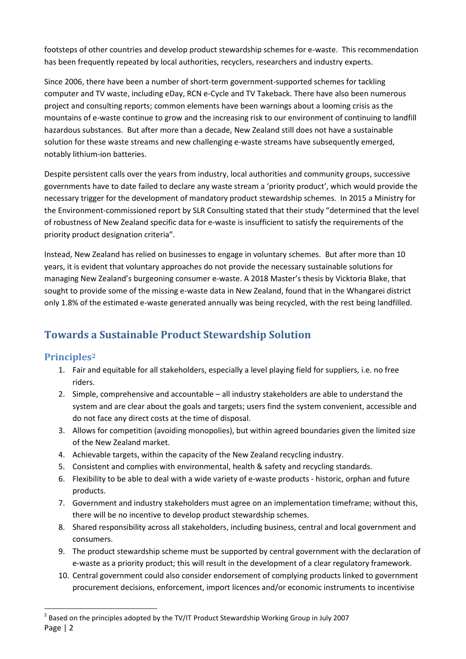footsteps of other countries and develop product stewardship schemes for e-waste. This recommendation has been frequently repeated by local authorities, recyclers, researchers and industry experts.

Since 2006, there have been a number of short-term government-supported schemes for tackling computer and TV waste, including eDay, RCN e-Cycle and TV Takeback. There have also been numerous project and consulting reports; common elements have been warnings about a looming crisis as the mountains of e-waste continue to grow and the increasing risk to our environment of continuing to landfill hazardous substances. But after more than a decade, New Zealand still does not have a sustainable solution for these waste streams and new challenging e-waste streams have subsequently emerged, notably lithium-ion batteries.

Despite persistent calls over the years from industry, local authorities and community groups, successive governments have to date failed to declare any waste stream a 'priority product', which would provide the necessary trigger for the development of mandatory product stewardship schemes. In 2015 a Ministry for the Environment-commissioned report by SLR Consulting stated that their study "determined that the level of robustness of New Zealand specific data for e-waste is insufficient to satisfy the requirements of the priority product designation criteria".

Instead, New Zealand has relied on businesses to engage in voluntary schemes. But after more than 10 years, it is evident that voluntary approaches do not provide the necessary sustainable solutions for managing New Zealand's burgeoning consumer e-waste. A 2018 Master's thesis by Vicktoria Blake, that sought to provide some of the missing e-waste data in New Zealand, found that in the Whangarei district only 1.8% of the estimated e-waste generated annually was being recycled, with the rest being landfilled.

# **Towards a Sustainable Product Stewardship Solution**

#### **Principles<sup>2</sup>**

- 1. Fair and equitable for all stakeholders, especially a level playing field for suppliers, i.e. no free riders.
- 2. Simple, comprehensive and accountable all industry stakeholders are able to understand the system and are clear about the goals and targets; users find the system convenient, accessible and do not face any direct costs at the time of disposal.
- 3. Allows for competition (avoiding monopolies), but within agreed boundaries given the limited size of the New Zealand market.
- 4. Achievable targets, within the capacity of the New Zealand recycling industry.
- 5. Consistent and complies with environmental, health & safety and recycling standards.
- 6. Flexibility to be able to deal with a wide variety of e-waste products historic, orphan and future products.
- 7. Government and industry stakeholders must agree on an implementation timeframe; without this, there will be no incentive to develop product stewardship schemes.
- 8. Shared responsibility across all stakeholders, including business, central and local government and consumers.
- 9. The product stewardship scheme must be supported by central government with the declaration of e-waste as a priority product; this will result in the development of a clear regulatory framework.
- 10. Central government could also consider endorsement of complying products linked to government procurement decisions, enforcement, import licences and/or economic instruments to incentivise

Page | 2 1  $^2$  Based on the principles adopted by the TV/IT Product Stewardship Working Group in July 2007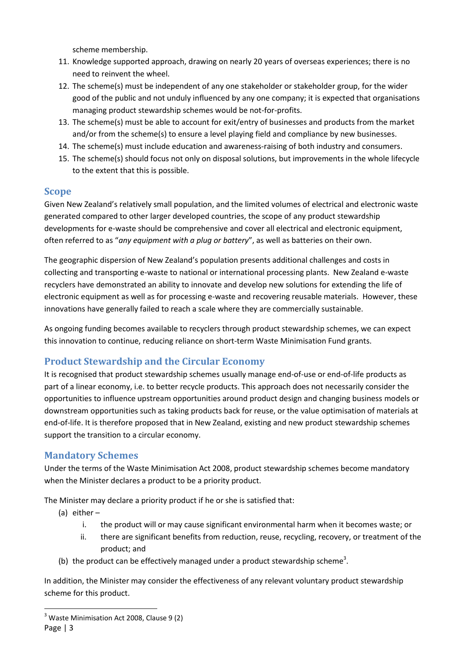scheme membership.

- 11. Knowledge supported approach, drawing on nearly 20 years of overseas experiences; there is no need to reinvent the wheel.
- 12. The scheme(s) must be independent of any one stakeholder or stakeholder group, for the wider good of the public and not unduly influenced by any one company; it is expected that organisations managing product stewardship schemes would be not-for-profits.
- 13. The scheme(s) must be able to account for exit/entry of businesses and products from the market and/or from the scheme(s) to ensure a level playing field and compliance by new businesses.
- 14. The scheme(s) must include education and awareness-raising of both industry and consumers.
- 15. The scheme(s) should focus not only on disposal solutions, but improvements in the whole lifecycle to the extent that this is possible.

#### **Scope**

Given New Zealand's relatively small population, and the limited volumes of electrical and electronic waste generated compared to other larger developed countries, the scope of any product stewardship developments for e-waste should be comprehensive and cover all electrical and electronic equipment, often referred to as "*any equipment with a plug or battery*", as well as batteries on their own.

The geographic dispersion of New Zealand's population presents additional challenges and costs in collecting and transporting e-waste to national or international processing plants. New Zealand e-waste recyclers have demonstrated an ability to innovate and develop new solutions for extending the life of electronic equipment as well as for processing e-waste and recovering reusable materials. However, these innovations have generally failed to reach a scale where they are commercially sustainable.

As ongoing funding becomes available to recyclers through product stewardship schemes, we can expect this innovation to continue, reducing reliance on short-term Waste Minimisation Fund grants.

# **Product Stewardship and the Circular Economy**

It is recognised that product stewardship schemes usually manage end-of-use or end-of-life products as part of a linear economy, i.e. to better recycle products. This approach does not necessarily consider the opportunities to influence upstream opportunities around product design and changing business models or downstream opportunities such as taking products back for reuse, or the value optimisation of materials at end-of-life. It is therefore proposed that in New Zealand, existing and new product stewardship schemes support the transition to a circular economy.

#### **Mandatory Schemes**

Under the terms of the Waste Minimisation Act 2008, product stewardship schemes become mandatory when the Minister declares a product to be a priority product.

The Minister may declare a priority product if he or she is satisfied that:

- (a) either
	- i. the product will or may cause significant environmental harm when it becomes waste; or
	- ii. there are significant benefits from reduction, reuse, recycling, recovery, or treatment of the product; and
- (b) the product can be effectively managed under a product stewardship scheme<sup>3</sup>.

In addition, the Minister may consider the effectiveness of any relevant voluntary product stewardship scheme for this product.

Page | 3 1  $3$  Waste Minimisation Act 2008, Clause 9 (2)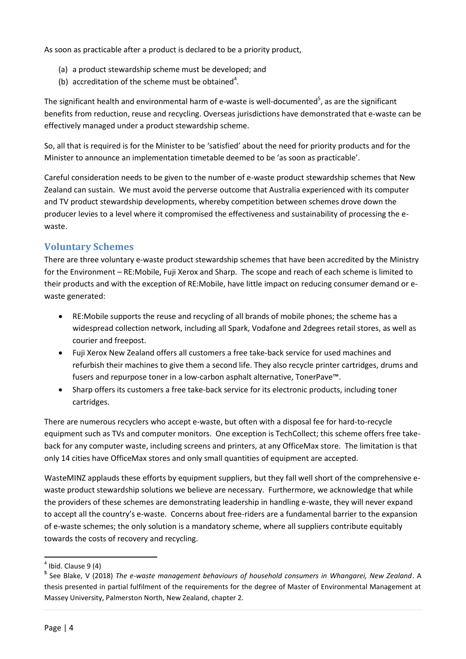As soon as practicable after a product is declared to be a priority product,

- (a) a product stewardship scheme must be developed; and
- (b) accreditation of the scheme must be obtained<sup>4</sup>.

The significant health and environmental harm of e-waste is well-documented<sup>5</sup>, as are the significant benefits from reduction, reuse and recycling. Overseas jurisdictions have demonstrated that e-waste can be effectively managed under a product stewardship scheme.

So, all that is required is for the Minister to be 'satisfied' about the need for priority products and for the Minister to announce an implementation timetable deemed to be 'as soon as practicable'.

Careful consideration needs to be given to the number of e-waste product stewardship schemes that New Zealand can sustain. We must avoid the perverse outcome that Australia experienced with its computer and TV product stewardship developments, whereby competition between schemes drove down the producer levies to a level where it compromised the effectiveness and sustainability of processing the ewaste.

## **Voluntary Schemes**

There are three voluntary e-waste product stewardship schemes that have been accredited by the Ministry for the Environment – RE:Mobile, Fuji Xerox and Sharp. The scope and reach of each scheme is limited to their products and with the exception of RE:Mobile, have little impact on reducing consumer demand or ewaste generated:

- RE:Mobile supports the reuse and recycling of all brands of mobile phones; the scheme has a widespread collection network, including all Spark, Vodafone and 2degrees retail stores, as well as courier and freepost.
- Fuji Xerox New Zealand offers all customers a free take-back service for used machines and refurbish their machines to give them a second life. They also recycle printer cartridges, drums and fusers and repurpose toner in a low-carbon asphalt alternative, TonerPave™.
- Sharp offers its customers a free take-back service for its electronic products, including toner cartridges.

There are numerous recyclers who accept e-waste, but often with a disposal fee for hard-to-recycle equipment such as TVs and computer monitors. One exception is TechCollect; this scheme offers free takeback for any computer waste, including screens and printers, at any OfficeMax store. The limitation is that only 14 cities have OfficeMax stores and only small quantities of equipment are accepted.

WasteMINZ applauds these efforts by equipment suppliers, but they fall well short of the comprehensive ewaste product stewardship solutions we believe are necessary. Furthermore, we acknowledge that while the providers of these schemes are demonstrating leadership in handling e-waste, they will never expand to accept all the country's e-waste. Concerns about free-riders are a fundamental barrier to the expansion of e-waste schemes; the only solution is a mandatory scheme, where all suppliers contribute equitably towards the costs of recovery and recycling.

 $\overline{a}$ 

 $<sup>4</sup>$  Ibid. Clause 9 (4)</sup>

**<sup>5</sup>** See Blake, V (2018) *The e-waste management behaviours of household consumers in Whangarei, New Zealand*. A thesis presented in partial fulfilment of the requirements for the degree of Master of Environmental Management at Massey University, Palmerston North, New Zealand, chapter 2.